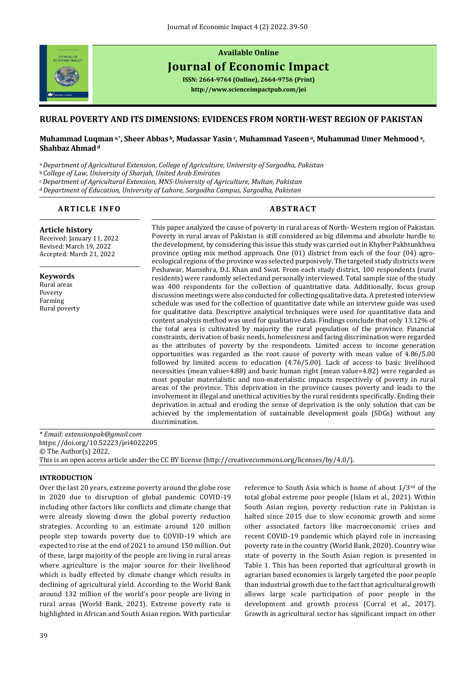

# **Available Online Journal of Economic Impact**

**ISSN: 2664-9764 (Online), 2664-9756 (Print) <http://www.scienceimpactpub.com/jei>**

## **RURAL POVERTY AND ITS DIMENSIONS: EVIDENCES FROM NORTH-WEST REGION OF PAKISTAN**

## **Muhammad Luqmana,\* , Sheer Abbas <sup>b</sup>, Mudassar Yasin<sup>c</sup> , Muhammad Yaseena, Muhammad Umer Mehmooda, Shahbaz Ahmad<sup>d</sup>**

<sup>a</sup>*Department of Agricultural Extension, College of Agriculture, University of Sargodha, Pakistan*

<sup>b</sup>*College of Law, University of Sharjah, United Arab Emirates*

<sup>c</sup>*Department of Agricultural Extension, MNS-University of Agriculture, Multan, Pakistan*

<sup>d</sup>*Department of Education, University of Lahore, Sargodha Campus, Sargodha, Pakistan*

## **A R T I C L E I N F O A B S T R A C T**

**Article history**  Received: January 11, 2022 Revised: March 19, 2022 Accepted: March 21, 2022

**Keywords** Rural areas Poverty Farming Rural poverty This paper analyzed the cause of poverty in rural areas of North- Western region of Pakistan. Poverty in rural areas of Pakistan is still considered as big dilemma and absolute hurdle to the development, by considering this issue this study was carried out in Khyber Pakhtunkhwa province opting mix method approach. One (01) district from each of the four (04) agroecological regions of the province was selected purposively. The targeted study districts were Peshawar, Mansehra, D.I. Khan and Swat. From each study district, 100 respondents (rural residents) were randomly selected and personally interviewed. Total sample size of the study was 400 respondents for the collection of quantitative data. Additionally, focus group discussion meetings were also conducted for collecting qualitative data. A pretested interview schedule was used for the collection of quantitative date while an interview guide was used for qualitative data. Descriptive analytical techniques were used for quantitative data and content analysis method was used for qualitative data. Findings conclude that only 13.12% of the total area is cultivated by majority the rural population of the province. Financial constraints, derivation of basic needs, homelessness and facing discrimination were regarded as the attributes of poverty by the respondents. Limited access to income generation opportunities was regarded as the root cause of poverty with mean value of 4.86/5.00 followed by limited access to education (4.76/5.00). Lack of access to basic livelihood necessities (mean value=4.88) and basic human right (mean value=4.82) were regarded as most popular materialistic and non-materialistic impacts respectively of poverty in rural areas of the province. This deprivation in the province causes poverty and leads to the involvement in illegal and unethical activities by the rural residents specifically. Ending their deprivation in actual and eroding the sense of deprivation is the only solution that can be achieved by the implementation of sustainable development goals (SDGs) without any discrimination.

*\* Email: extensionpak@gmail.com* <https://doi.org/10.52223/jei4022205> © The Author(s) 2022. This is an open access article under the CC BY license [\(http://creativecommons.org/licenses/by/4.0/\)](http://creativecommons.org/licenses/by/4.0/).

## **INTRODUCTION**

Over the last 20 years, extreme poverty around the globe rose in 2020 due to disruption of global pandemic COVID-19 including other factors like conflicts and climate change that were already slowing down the global poverty reduction strategies. According to an estimate around 120 million people step towards poverty due to COVID-19 which are expected to rise at the end of 2021 to around 150 million. Out of these, large majority of the people are living in rural areas where agriculture is the major source for their livelihood which is badly effected by climate change which results in declining of agricultural yield. According to the World Bank around 132 million of the world's poor people are living in rural areas (World Bank, 2021). Extreme poverty rate is highlighted in African and South Asian region. With particular reference to South Asia which is home of about 1/3rd of the total global extreme poor people (Islam et al., 2021). Within South Asian region, poverty reduction rate in Pakistan is halted since 2015 due to slow economic growth and some other associated factors like macroeconomic crises and recent COVID-19 pandemic which played role in increasing poverty rate in the country (World Bank, 2020). Country wise state of poverty in the South Asian region is presented in Table 1. This has been reported that agricultural growth in agrarian based economies is largely targeted the poor people than industrial growth due to the fact that agricultural growth allows large scale participation of poor people in the development and growth process (Corral et al., 2017). Growth in agricultural sector has significant impact on other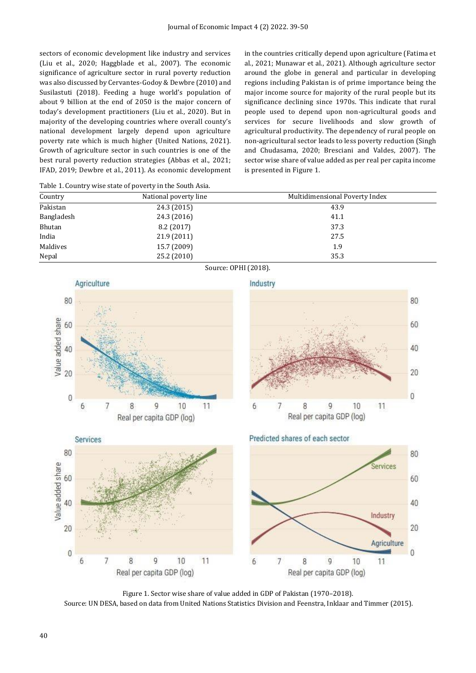sectors of economic development like industry and services (Liu et al., 2020; Haggblade et al., 2007). The economic significance of agriculture sector in rural poverty reduction was also discussed by Cervantes-Godoy & Dewbre (2010) and Susilastuti (2018). Feeding a huge world's population of about 9 billion at the end of 2050 is the major concern of today's development practitioners (Liu et al., 2020). But in majority of the developing countries where overall county's national development largely depend upon agriculture poverty rate which is much higher (United Nations, 2021). Growth of agriculture sector in such countries is one of the best rural poverty reduction strategies (Abbas et al., 2021; IFAD, 2019; Dewbre et al., 2011). As economic development

in the countries critically depend upon agriculture (Fatima et al., 2021; Munawar et al., 2021). Although agriculture sector around the globe in general and particular in developing regions including Pakistan is of prime importance being the major income source for majority of the rural people but its significance declining since 1970s. This indicate that rural people used to depend upon non-agricultural goods and services for secure livelihoods and slow growth of agricultural productivity. The dependency of rural people on non-agricultural sector leads to less poverty reduction (Singh and Chudasama, 2020; Bresciani and Valdes, 2007). The sector wise share of value added as per real per capita income is presented in Figure 1.

| Country              | National poverty line | Multidimensional Poverty Index |  |
|----------------------|-----------------------|--------------------------------|--|
| Pakistan             | 24.3 (2015)           | 43.9                           |  |
| Bangladesh           | 24.3 (2016)           | 41.1                           |  |
| Bhutan               | 8.2(2017)             | 37.3                           |  |
| India                | 21.9 (2011)           | 27.5                           |  |
| Maldives             | 15.7 (2009)           | 1.9                            |  |
| Nepal                | 25.2 (2010)           | 35.3                           |  |
| Source: OPHI (2018). |                       |                                |  |



Industry





Figure 1. Sector wise share of value added in GDP of Pakistan (1970–2018). Source: UN DESA, based on data from United Nations Statistics Division and Feenstra, Inklaar and Timmer (2015).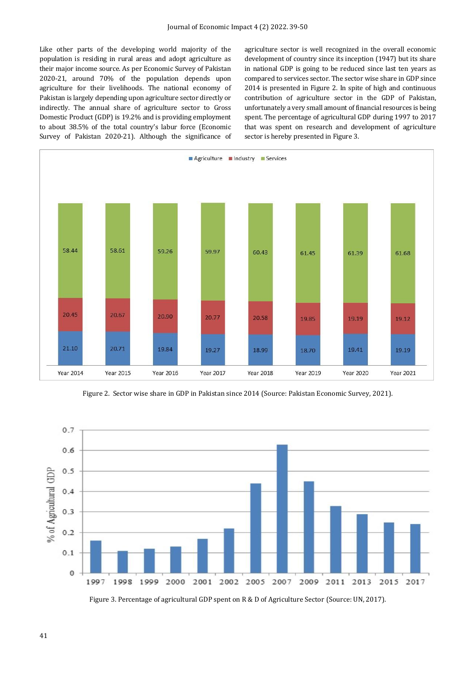Like other parts of the developing world majority of the population is residing in rural areas and adopt agriculture as their major income source. As per Economic Survey of Pakistan 2020-21, around 70% of the population depends upon agriculture for their livelihoods. The national economy of Pakistan is largely depending upon agriculture sector directly or indirectly. The annual share of agriculture sector to Gross Domestic Product (GDP) is 19.2% and is providing employment to about 38.5% of the total country's labur force (Economic Survey of Pakistan 2020-21). Although the significance of

agriculture sector is well recognized in the overall economic development of country since its inception (1947) but its share in national GDP is going to be reduced since last ten years as compared to services sector. The sector wise share in GDP since 2014 is presented in Figure 2. In spite of high and continuous contribution of agriculture sector in the GDP of Pakistan, unfortunately a very small amount of financial resources is being spent. The percentage of agricultural GDP during 1997 to 2017 that was spent on research and development of agriculture sector is hereby presented in Figure 3.



Figure 2. Sector wise share in GDP in Pakistan since 2014 (Source: Pakistan Economic Survey, 2021).



Figure 3. Percentage of agricultural GDP spent on R & D of Agriculture Sector (Source: UN, 2017).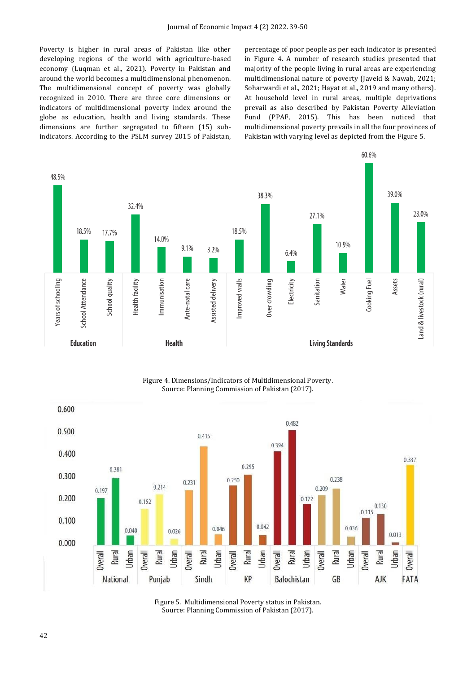Poverty is higher in rural areas of Pakistan like other developing regions of the world with agriculture-based economy (Luqman et al., 2021). Poverty in Pakistan and around the world becomes a multidimensional phenomenon. The multidimensional concept of poverty was globally recognized in 2010. There are three core dimensions or indicators of multidimensional poverty index around the globe as education, health and living standards. These dimensions are further segregated to fifteen (15) subindicators. According to the PSLM survey 2015 of Pakistan, percentage of poor people as per each indicator is presented in Figure 4. A number of research studies presented that majority of the people living in rural areas are experiencing multidimensional nature of poverty (Javeid & Nawab, 2021; Soharwardi et al., 2021; Hayat et al., 2019 and many others). At household level in rural areas, multiple deprivations prevail as also described by Pakistan Poverty Alleviation Fund (PPAF, 2015). This has been noticed that multidimensional poverty prevails in all the four provinces of Pakistan with varying level as depicted from the Figure 5.



Figure 4. Dimensions/Indicators of Multidimensional Poverty. Source: Planning Commission of Pakistan (2017).



Figure 5. Multidimensional Poverty status in Pakistan. Source: Planning Commission of Pakistan (2017).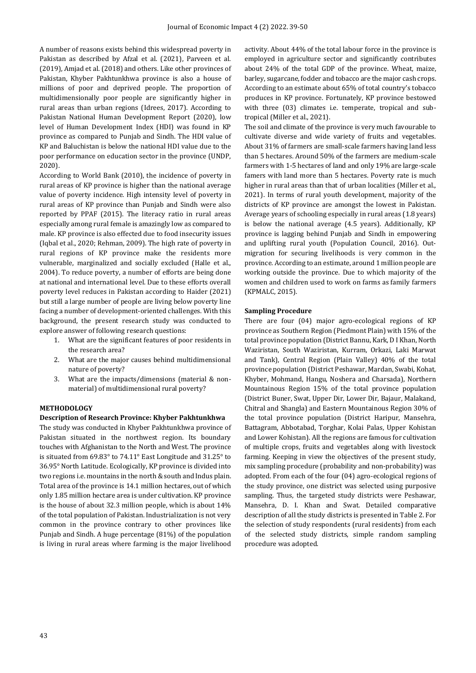A number of reasons exists behind this widespread poverty in Pakistan as described by Afzal et al. (2021), Parveen et al. (2019), Amjad et al. (2018) and others. Like other provinces of Pakistan, Khyber Pakhtunkhwa province is also a house of millions of poor and deprived people. The proportion of multidimensionally poor people are significantly higher in rural areas than urban regions (Idrees, 2017). According to Pakistan National Human Development Report (2020), low level of Human Development Index (HDI) was found in KP province as compared to Punjab and Sindh. The HDI value of KP and Baluchistan is below the national HDI value due to the poor performance on education sector in the province (UNDP, 2020).

According to World Bank (2010), the incidence of poverty in rural areas of KP province is higher than the national average value of poverty incidence. High intensity level of poverty in rural areas of KP province than Punjab and Sindh were also reported by PPAF (2015). The literacy ratio in rural areas especially among rural female is amazingly low as compared to male. KP province is also effected due to food insecurity issues (Iqbal et al., 2020; Rehman, 2009). The high rate of poverty in rural regions of KP province make the residents more vulnerable, marginalized and socially excluded (Halle et al., 2004). To reduce poverty, a number of efforts are being done at national and international level. Due to these efforts overall poverty level reduces in Pakistan according to Haider (2021) but still a large number of people are living below poverty line facing a number of development-oriented challenges. With this background, the present research study was conducted to explore answer of following research questions:

- 1. What are the significant features of poor residents in the research area?
- 2. What are the major causes behind multidimensional nature of poverty?
- 3. What are the impacts/dimensions (material & nonmaterial) of multidimensional rural poverty?

## **METHODOLOGY**

#### **Description of Research Province: Khyber Pakhtunkhwa**

The study was conducted in Khyber Pakhtunkhwa province of Pakistan situated in the northwest region. Its boundary touches with Afghanistan to the North and West. The province is situated from 69.83° to 74.11° East Longitude and 31.25° to 36.95° North Latitude. Ecologically, KP province is divided into two regions i.e. mountains in the north & south and Indus plain. Total area of the province is 14.1 million hectares, out of which only 1.85 million hectare area is under cultivation. KP province is the house of about 32.3 million people, which is about 14% of the total population of Pakistan. Industrialization is not very common in the province contrary to other provinces like Punjab and Sindh. A huge percentage (81%) of the population is living in rural areas where farming is the major livelihood activity. About 44% of the total labour force in the province is employed in agriculture sector and significantly contributes about 24% of the total GDP of the province. Wheat, maize, barley, sugarcane, fodder and tobacco are the major cash crops. According to an estimate about 65% of total country's tobacco produces in KP province. Fortunately, KP province bestowed with three (03) climates i.e. temperate, tropical and subtropical (Miller et al., 2021).

The soil and climate of the province is very much favourable to cultivate diverse and wide variety of fruits and vegetables. About 31% of farmers are small-scale farmers having land less than 5 hectares. Around 50% of the farmers are medium-scale farmers with 1-5 hectares of land and only 19% are large-scale famers with land more than 5 hectares. Poverty rate is much higher in rural areas than that of urban localities (Miller et al., 2021). In terms of rural youth development, majority of the districts of KP province are amongst the lowest in Pakistan. Average years of schooling especially in rural areas (1.8 years) is below the national average (4.5 years). Additionally, KP province is lagging behind Punjab and Sindh in empowering and uplifting rural youth (Population Council, 2016). Outmigration for securing livelihoods is very common in the province. According to an estimate, around 1 million people are working outside the province. Due to which majority of the women and children used to work on farms as family farmers (KPMALC, 2015).

#### **Sampling Procedure**

There are four (04) major agro-ecological regions of KP province as Southern Region (Piedmont Plain) with 15% of the total province population (District Bannu, Kark, D I Khan, North Waziristan, South Waziristan, Kurram, Orkazi, Laki Marwat and Tank), Central Region (Plain Valley) 40% of the total province population (District Peshawar, Mardan, Swabi, Kohat, Khyber, Mohmand, Hangu, Noshera and Charsada), Northern Mountainous Region 15% of the total province population (District Buner, Swat, Upper Dir, Lower Dir, Bajaur, Malakand, Chitral and Shangla) and Eastern Mountainous Region 30% of the total province population (District Haripur, Mansehra, Battagram, Abbotabad, Torghar, Kolai Palas, Upper Kohistan and Lower Kohistan). All the regions are famous for cultivation of multiple crops, fruits and vegetables along with livestock farming. Keeping in view the objectives of the present study, mix sampling procedure (probability and non-probability) was adopted. From each of the four (04) agro-ecological regions of the study province, one district was selected using purposive sampling. Thus, the targeted study districts were Peshawar, Mansehra, D. I. Khan and Swat. Detailed comparative description of all the study districts is presented in Table 2. For the selection of study respondents (rural residents) from each of the selected study districts, simple random sampling procedure was adopted.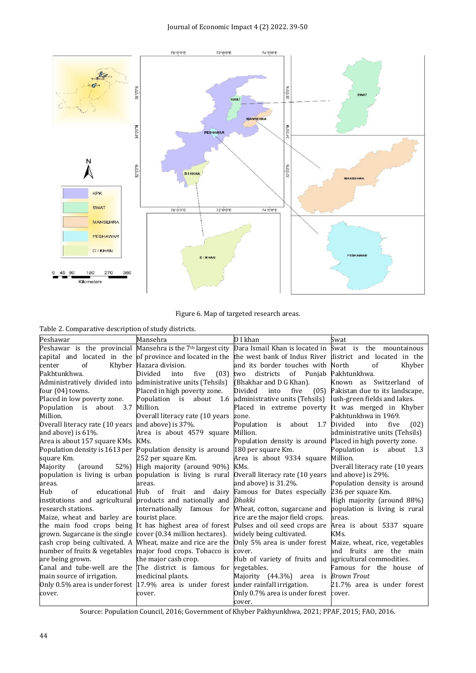

Figure 6. Map of targeted research areas.

Table 2. Comparative description of study districts.

| Peshawar                                                     | Mansehra                                                                                                                       | D I khan                                               | Swat                            |
|--------------------------------------------------------------|--------------------------------------------------------------------------------------------------------------------------------|--------------------------------------------------------|---------------------------------|
|                                                              | Peshawar is the provincial Mansehra is the 7 <sup>th</sup> largest city Dara Ismail Khan is located in Swat is the mountainous |                                                        |                                 |
|                                                              | capital and located in the of-province-and-located-in-the-lifte-west-bank-of-Indus-River-liftstrict and located in the         |                                                        |                                 |
| of<br>center                                                 | Khyber Hazara division.                                                                                                        | and its border touches with North                      | of<br>Khyber                    |
| Pakhtunkhwa.                                                 | Divided<br>into<br>five                                                                                                        | (03) two districts of Punjab                           | Pakhtunkhwa.                    |
| Administratively divided into administrative units (Tehsils) |                                                                                                                                | (Bhakhar and D G Khan).                                | Known as Switzerland of         |
| four (04) towns.                                             | Placed in high poverty zone.                                                                                                   | Divided<br>into<br>five<br>(05)                        | Pakistan due to its landscape.  |
| Placed in low poverty zone.                                  | Population is about 1.6 administrative units (Tehsils)                                                                         |                                                        | lush-green fields and lakes.    |
| Population is about 3.7 Million.                             |                                                                                                                                | Placed in extreme poverty It was merged in Khyber      |                                 |
| Million.                                                     | Overall literacy rate (10 years zone.                                                                                          |                                                        | Pakhtunkhwa in 1969.            |
| Overall literacy rate (10 years and above) is 37%.           |                                                                                                                                | Population is about 1.7                                | Divided<br>five<br>(02)<br>into |
| and above) is $61\%$ .                                       | Area is about 4579 square Million.                                                                                             |                                                        | administrative units (Tehsils)  |
| Area is about 157 square KMs. KMs.                           |                                                                                                                                | Population density is around                           | Placed in high poverty zone.    |
| Population density is 1613 per                               | Population density is around 180 per square Km.                                                                                |                                                        | Population is about 1.3         |
| square Km.                                                   | 252 per square Km.                                                                                                             | Area is about 9334 square Million.                     |                                 |
| (around 52%)<br>Majority                                     | High majority (around 90%) KMs.                                                                                                |                                                        | Overall literacy rate (10 years |
|                                                              | population is living is urban population is living is rural Overall literacy rate (10 years                                    |                                                        | and above) is 29%.              |
| areas.                                                       | areas.                                                                                                                         | and above) is 31.2%.                                   | Population density is around    |
| Hub<br>of                                                    | educational Hub of fruit and dairy Famous for Dates especially 236 per square Km.                                              |                                                        |                                 |
|                                                              | institutions and agricultural products and nationally and <i>Dhakki</i>                                                        |                                                        | High majority (around 88%)      |
| research stations.                                           | internationally famous for Wheat, cotton, sugarcane and                                                                        |                                                        | population is living is rural   |
| Maize, wheat and barley are tourist place.                   |                                                                                                                                | rice are the major field crops.                        | areas.                          |
|                                                              | the main food crops being It has highest area of forest Pulses and oil seed crops are                                          |                                                        | Area is about 5337 square       |
|                                                              | grown. Sugarcane is the single cover (0.34 million hectares). widely being cultivated.                                         |                                                        | KM <sub>S</sub> .               |
|                                                              | cash crop being cultivated. A Wheat, maize and rice are the Only 5% area is under forest Maize, wheat, rice, vegetables        |                                                        |                                 |
|                                                              | number of fruits & vegetables major food crops. Tobacco is cover.                                                              |                                                        | and fruits are the main         |
| are being grown.                                             | the major cash crop.                                                                                                           | Hub of variety of fruits and agricultural commodities. |                                 |
|                                                              | Canal and tube-well are the The district is famous for vegetables.                                                             |                                                        | Famous for the house of         |
| main source of irrigation.                                   | medicinal plants.                                                                                                              | Majority (44.3%) area is <i>Brown Trout</i>            |                                 |
|                                                              | Only 0.5% area is under forest $17.9\%$ area is under forest under rainfall irrigation.                                        |                                                        | 21.7% area is under forest      |
| cover.                                                       | cover.                                                                                                                         | Only 0.7% area is under forest cover.                  |                                 |
|                                                              |                                                                                                                                | cover.                                                 |                                 |

Source: Population Council, 2016; Government of Khyber Pakhyunkhwa, 2021; PPAF, 2015; FAO, 2016.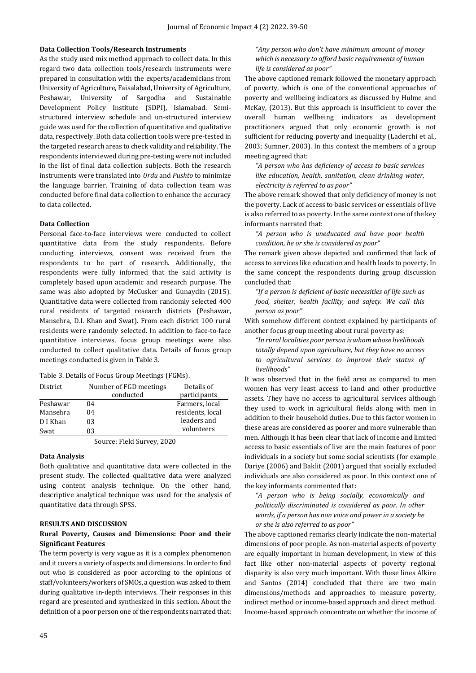#### **Data Collection Tools/Research Instruments**

As the study used mix method approach to collect data. In this regard two data collection tools/research instruments were prepared in consultation with the experts/academicians from University of Agriculture, Faisalabad, University of Agriculture, Peshawar, University of Sargodha and Sustainable Development Policy Institute (SDPI), Islamabad. Semistructured interview schedule and un-structured interview guide was used for the collection of quantitative and qualitative data, respectively. Both data collection tools were pre-tested in the targeted research areas to check validity and reliability. The respondents interviewed during pre-testing were not included in the list of final data collection subjects. Both the research instruments were translated into *Urdu* and *Pushto* to minimize the language barrier. Training of data collection team was conducted before final data collection to enhance the accuracy to data collected.

#### **Data Collection**

Personal face-to-face interviews were conducted to collect quantitative data from the study respondents. Before conducting interviews, consent was received from the respondents to be part of research. Additionally, the respondents were fully informed that the said activity is completely based upon academic and research purpose. The same was also adopted by McCusker and Gunaydin (2015). Quantitative data were collected from randomly selected 400 rural residents of targeted research districts (Peshawar, Mansehra, D.I. Khan and Swat). From each district 100 rural residents were randomly selected. In addition to face-to-face quantitative interviews, focus group meetings were also conducted to collect qualitative data. Details of focus group meetings conducted is given in Table 3.

Table 3. Details of Focus Group Meetings (FGMs).

| District | Number of FGD meetings | Details of       |
|----------|------------------------|------------------|
|          | conducted              | participants     |
| Peshawar | 04                     | Farmers, local   |
| Mansehra | 04                     | residents, local |
| D I Khan | 03                     | leaders and      |
| Swat     | 03                     | volunteers       |

#### Source: Field Survey, 2020

#### **Data Analysis**

Both qualitative and quantitative data were collected in the present study. The collected qualitative data were analyzed using content analysis technique. On the other hand, descriptive analytical technique was used for the analysis of quantitative data through SPSS.

#### **RESULTS AND DISCUSSION**

## **Rural Poverty, Causes and Dimensions: Poor and their Significant Features**

The term poverty is very vague as it is a complex phenomenon and it covers a variety of aspects and dimensions. In order to find out who is considered as poor according to the opinions of staff/volunteers/workers of SMOs, a question was asked to them during qualitative in-depth interviews. Their responses in this regard are presented and synthesized in this section. About the definition of a poor person one of the respondents narrated that:

The above captioned remark followed the monetary approach of poverty, which is one of the conventional approaches of poverty and wellbeing indicators as discussed by Hulme and McKay, (2013). But this approach is insufficient to cover the overall human wellbeing indicators as development practitioners argued that only economic growth is not sufficient for reducing poverty and inequality (Laderchi et al*.,* 2003; Sumner, 2003). In this context the members of a group meeting agreed that:

*"A person who has deficiency of access to basic services like education, health, sanitation, clean drinking water, electricity is referred to as poor"*

The above remark showed that only deficiency of money is not the poverty. Lack of access to basic services or essentials of live is also referred to as poverty. In the same context one of the key informants narrated that:

*"A person who is uneducated and have poor health condition, he or she is considered as poor"*

The remark given above depicted and confirmed that lack of access to services like education and health leads to poverty. In the same concept the respondents during group discussion concluded that:

*"If a person is deficient of basic necessities of life such as food, shelter, health facility, and safety. We call this person as poor"*

With somehow different context explained by participants of another focus group meeting about rural poverty as:

*"In rural localities poor person is whom whose livelihoods totally depend upon agriculture, but they have no access to agricultural services to improve their status of livelihoods"* 

It was observed that in the field area as compared to men women has very least access to land and other productive assets. They have no access to agricultural services although they used to work in agricultural fields along with men in addition to their household duties. Due to this factor women in these areas are considered as poorer and more vulnerable than men. Although it has been clear that lack of income and limited access to basic essentials of live are the main features of poor individuals in a society but some social scientists (for example Dariye (2006) and Baklit (2001) argued that socially excluded individuals are also considered as poor. In this context one of the key informants commented that:

*"A person who is being socially, economically and politically discriminated is considered as poor. In other words, if a person has non voice and power in a society he or she is also referred to as poor"*

The above captioned remarks clearly indicate the non-material dimensions of poor people. As non-material aspects of poverty are equally important in human development, in view of this fact like other non-material aspects of poverty regional disparity is also very much important. With these lines Alkire and Santos (2014) concluded that there are two main dimensions/methods and approaches to measure poverty, indirect method or income-based approach and direct method. Income-based approach concentrate on whether the income of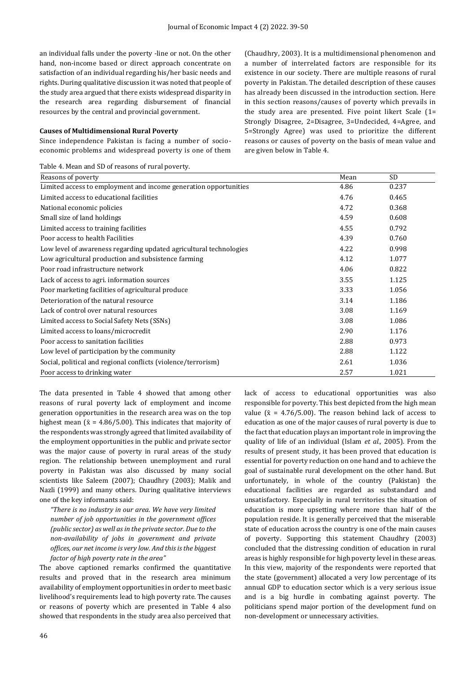an individual falls under the poverty -line or not. On the other hand, non-income based or direct approach concentrate on satisfaction of an individual regarding his/her basic needs and rights. During qualitative discussion it was noted that people of the study area argued that there exists widespread disparity in the research area regarding disbursement of financial resources by the central and provincial government.

#### **Causes of Multidimensional Rural Poverty**

Since independence Pakistan is facing a number of socioeconomic problems and widespread poverty is one of them

Table 4. Mean and SD of reasons of rural poverty.

(Chaudhry, 2003). It is a multidimensional phenomenon and a number of interrelated factors are responsible for its existence in our society. There are multiple reasons of rural poverty in Pakistan. The detailed description of these causes has already been discussed in the introduction section. Here in this section reasons/causes of poverty which prevails in the study area are presented. Five point likert Scale (1= Strongly Disagree, 2=Disagree, 3=Undecided, 4=Agree, and 5=Strongly Agree) was used to prioritize the different reasons or causes of poverty on the basis of mean value and are given below in Table 4.

| Reasons of poverty                                                 | Mean | SD    |  |
|--------------------------------------------------------------------|------|-------|--|
| Limited access to employment and income generation opportunities   | 4.86 | 0.237 |  |
| Limited access to educational facilities                           | 4.76 | 0.465 |  |
| National economic policies                                         | 4.72 | 0.368 |  |
| Small size of land holdings                                        | 4.59 | 0.608 |  |
| Limited access to training facilities                              | 4.55 | 0.792 |  |
| Poor access to health Facilities                                   | 4.39 | 0.760 |  |
| Low level of awareness regarding updated agricultural technologies | 4.22 | 0.998 |  |
| Low agricultural production and subsistence farming                | 4.12 | 1.077 |  |
| Poor road infrastructure network                                   | 4.06 | 0.822 |  |
| Lack of access to agri. information sources                        | 3.55 | 1.125 |  |
| Poor marketing facilities of agricultural produce                  | 3.33 | 1.056 |  |
| Deterioration of the natural resource                              | 3.14 | 1.186 |  |
| Lack of control over natural resources                             | 3.08 | 1.169 |  |
| Limited access to Social Safety Nets (SSNs)                        | 3.08 | 1.086 |  |
| Limited access to loans/microcredit                                | 2.90 | 1.176 |  |
| Poor access to sanitation facilities                               | 2.88 | 0.973 |  |
| Low level of participation by the community                        | 2.88 | 1.122 |  |
| Social, political and regional conflicts (violence/terrorism)      | 2.61 | 1.036 |  |
| Poor access to drinking water                                      | 2.57 | 1.021 |  |

The data presented in Table 4 showed that among other reasons of rural poverty lack of employment and income generation opportunities in the research area was on the top highest mean ( $\bar{x}$  = 4.86/5.00). This indicates that majority of the respondents was strongly agreed that limited availability of the employment opportunities in the public and private sector was the major cause of poverty in rural areas of the study region. The relationship between unemployment and rural poverty in Pakistan was also discussed by many social scientists like Saleem (2007); Chaudhry (2003); Malik and Nazli (1999) and many others. During qualitative interviews one of the key informants said:

*"There is no industry in our area. We have very limited number of job opportunities in the government offices (public sector) as well as in the private sector. Due to the non-availability of jobs in government and private offices, our net income is very low. And this is the biggest factor of high poverty rate in the area"*

The above captioned remarks confirmed the quantitative results and proved that in the research area minimum availability of employment opportunities in order to meet basic livelihood's requirements lead to high poverty rate. The causes or reasons of poverty which are presented in Table 4 also showed that respondents in the study area also perceived that lack of access to educational opportunities was also responsible for poverty. This best depicted from the high mean value ( $\bar{x}$  = 4.76/5.00). The reason behind lack of access to education as one of the major causes of rural poverty is due to the fact that education plays an important role in improving the quality of life of an individual (Islam *et al.,* 2005). From the results of present study, it has been proved that education is essential for poverty reduction on one hand and to achieve the goal of sustainable rural development on the other hand. But unfortunately, in whole of the country (Pakistan) the educational facilities are regarded as substandard and unsatisfactory. Especially in rural territories the situation of education is more upsetting where more than half of the population reside. It is generally perceived that the miserable state of education across the country is one of the main causes of poverty. Supporting this statement Chaudhry (2003) concluded that the distressing condition of education in rural areas is highly responsible for high poverty level in these areas. In this view, majority of the respondents were reported that the state (government) allocated a very low percentage of its annual GDP to education sector which is a very serious issue and is a big hurdle in combating against poverty. The politicians spend major portion of the development fund on non-development or unnecessary activities.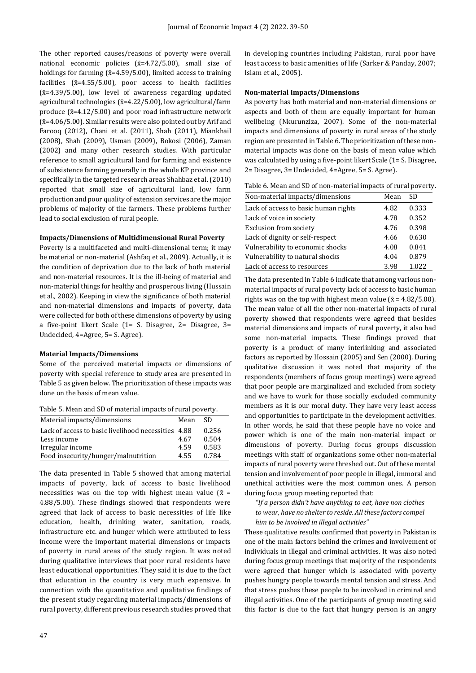The other reported causes/reasons of poverty were overall national economic policies  $(x=4.72/5.00)$ , small size of holdings for farming  $(\bar{x}=4.59/5.00)$ , limited access to training facilities  $(x=4.55/5.00)$ , poor access to health facilities  $(\bar{x}=4.39/5.00)$ , low level of awareness regarding updated agricultural technologies ( $\bar{x}$ =4.22/5.00), low agricultural/farm produce  $(\bar{x}=4.12/5.00)$  and poor road infrastructure network  $({\bar{x}}=4.06/5.00)$ . Similar results were also pointed out by Arif and Farooq (2012), Chani et al*.* (2011), Shah (2011), Miankhail (2008), Shah (2009), Usman (2009), Bokosi (2006), Zaman (2002) and many other research studies. With particular reference to small agricultural land for farming and existence of subsistence farming generally in the whole KP province and specifically in the targeted research areas Shahbaz et al. (2010) reported that small size of agricultural land, low farm production and poor quality of extension services are the major problems of majority of the farmers. These problems further lead to social exclusion of rural people.

#### **Impacts/Dimensions of Multidimensional Rural Poverty**

Poverty is a multifaceted and multi-dimensional term; it may be material or non-material (Ashfaq et al*.,* 2009). Actually, it is the condition of deprivation due to the lack of both material and non-material resources. It is the ill-being of material and non-material things for healthy and prosperous living (Hussain et al*.,* 2002). Keeping in view the significance of both material and non-material dimensions and impacts of poverty, data were collected for both of these dimensions of poverty by using a five-point likert Scale (1= S. Disagree, 2= Disagree, 3= Undecided, 4=Agree, 5= S. Agree).

#### **Material Impacts/Dimensions**

Some of the perceived material impacts or dimensions of poverty with special reference to study area are presented in Table 5 as given below. The prioritization of these impacts was done on the basis of mean value.

| Material impacts/dimensions                         | Mean | -SD.  |
|-----------------------------------------------------|------|-------|
| Lack of access to basic livelihood necessities 4.88 |      | 0.256 |
| Less income                                         | 4.67 | 0.504 |
| Irregular income                                    | 4.59 | 0.583 |
| Food insecurity/hunger/malnutrition                 | 4.55 | 0.784 |

The data presented in Table 5 showed that among material impacts of poverty, lack of access to basic livelihood necessities was on the top with highest mean value ( $\bar{x}$  = 4.88/5.00). These findings showed that respondents were agreed that lack of access to basic necessities of life like education, health, drinking water, sanitation, roads, infrastructure etc. and hunger which were attributed to less income were the important material dimensions or impacts of poverty in rural areas of the study region. It was noted during qualitative interviews that poor rural residents have least educational opportunities. They said it is due to the fact that education in the country is very much expensive. In connection with the quantitative and qualitative findings of the present study regarding material impacts/dimensions of rural poverty, different previous research studies proved that in developing countries including Pakistan, rural poor have least access to basic amenities of life (Sarker & Panday, 2007; Islam et al*.,* 2005).

#### **Non-material Impacts/Dimensions**

As poverty has both material and non-material dimensions or aspects and both of them are equally important for human wellbeing (Nkurunziza, 2007). Some of the non-material impacts and dimensions of poverty in rural areas of the study region are presented in Table 6. The prioritization of these nonmaterial impacts was done on the basis of mean value which was calculated by using a five-point likert Scale (1= S. Disagree, 2= Disagree, 3= Undecided, 4=Agree, 5= S. Agree).

Table 6. Mean and SD of non-material impacts of rural poverty.

| Non-material impacts/dimensions      | Mean | SD.   |
|--------------------------------------|------|-------|
| Lack of access to basic human rights | 4.82 | 0.333 |
| Lack of voice in society             | 4.78 | 0.352 |
| <b>Exclusion from society</b>        | 4.76 | 0.398 |
| Lack of dignity or self-respect      | 4.66 | 0.630 |
| Vulnerability to economic shocks     | 4.08 | 0.841 |
| Vulnerability to natural shocks      | 4.04 | 0.879 |
| Lack of access to resources          | 3.98 | 1.022 |

The data presented in Table 6 indicate that among various nonmaterial impacts of rural poverty lack of access to basic human rights was on the top with highest mean value ( $\bar{x}$  = 4.82/5.00). The mean value of all the other non-material impacts of rural poverty showed that respondents were agreed that besides material dimensions and impacts of rural poverty, it also had some non-material impacts. These findings proved that poverty is a product of many interlinking and associated factors as reported by Hossain (2005) and Sen (2000). During qualitative discussion it was noted that majority of the respondents (members of focus group meetings) were agreed that poor people are marginalized and excluded from society and we have to work for those socially excluded community members as it is our moral duty. They have very least access and opportunities to participate in the development activities. In other words, he said that these people have no voice and power which is one of the main non-material impact or dimensions of poverty. During focus groups discussion meetings with staff of organizations some other non-material impacts of rural poverty were threshed out. Out of these mental tension and involvement of poor people in illegal, immoral and unethical activities were the most common ones. A person during focus group meeting reported that:

*"If a person didn't have anything to eat, have non clothes to wear, have no shelter to reside. All these factors compel him to be involved in illegal activities"*

These qualitative results confirmed that poverty in Pakistan is one of the main factors behind the crimes and involvement of individuals in illegal and criminal activities. It was also noted during focus group meetings that majority of the respondents were agreed that hunger which is associated with poverty pushes hungry people towards mental tension and stress. And that stress pushes these people to be involved in criminal and illegal activities. One of the participants of group meeting said this factor is due to the fact that hungry person is an angry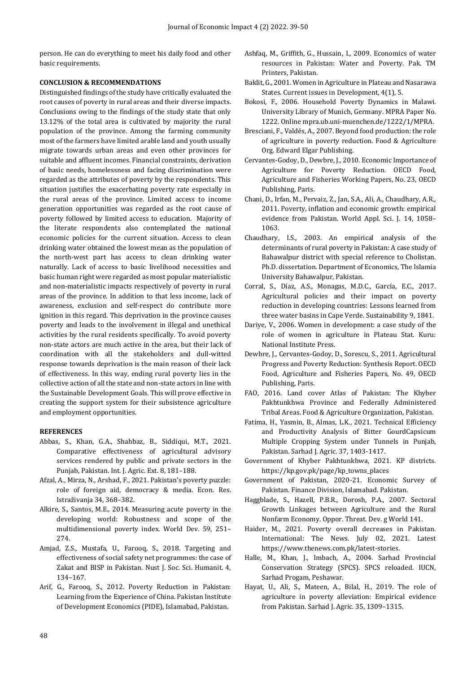person. He can do everything to meet his daily food and other basic requirements.

#### **CONCLUSION & RECOMMENDATIONS**

Distinguished findings of the study have critically evaluated the root causes of poverty in rural areas and their diverse impacts. Conclusions owing to the findings of the study state that only 13.12% of the total area is cultivated by majority the rural population of the province. Among the farming community most of the farmers have limited arable land and youth usually migrate towards urban areas and even other provinces for suitable and affluent incomes. Financial constraints, derivation of basic needs, homelessness and facing discrimination were regarded as the attributes of poverty by the respondents. This situation justifies the exacerbating poverty rate especially in the rural areas of the province. Limited access to income generation opportunities was regarded as the root cause of poverty followed by limited access to education. Majority of the literate respondents also contemplated the national economic policies for the current situation. Access to clean drinking water obtained the lowest mean as the population of the north-west part has access to clean drinking water naturally. Lack of access to basic livelihood necessities and basic human right were regarded as most popular materialistic and non-materialistic impacts respectively of poverty in rural areas of the province. In addition to that less income, lack of awareness, exclusion and self-respect do contribute more ignition in this regard. This deprivation in the province causes poverty and leads to the involvement in illegal and unethical activities by the rural residents specifically. To avoid poverty non-state actors are much active in the area, but their lack of coordination with all the stakeholders and dull-witted response towards deprivation is the main reason of their lack of effectiveness. In this way, ending rural poverty lies in the collective action of all the state and non-state actors in line with the Sustainable Development Goals. This will prove effective in creating the support system for their subsistence agriculture and employment opportunities.

### **REFERENCES**

- Abbas, S., Khan, G.A., Shahbaz, B., Siddiqui, M.T., 2021. Comparative effectiveness of agricultural advisory services rendered by public and private sectors in the Punjab, Pakistan. Int. J. Agric. Ext. 8, 181–188.
- Afzal, A., Mirza, N., Arshad, F., 2021. Pakistan's poverty puzzle: role of foreign aid, democracy & media. Econ. Res. Istraživanja 34, 368–382.
- Alkire, S., Santos, M.E., 2014. Measuring acute poverty in the developing world: Robustness and scope of the multidimensional poverty index. World Dev. 59, 251– 274.
- Amjad, Z.S., Mustafa, U., Farooq, S., 2018. Targeting and effectiveness of social safety net programmes: the case of Zakat and BISP in Pakistan. Nust J. Soc. Sci. Humanit. 4, 134–167.
- Arif, G., Farooq, S., 2012. Poverty Reduction in Pakistan: Learning from the Experience of China. Pakistan Institute of Development Economics (PIDE), Islamabad, Pakistan.
- Ashfaq, M., Griffith, G., Hussain, I., 2009. Economics of water resources in Pakistan: Water and Poverty. Pak. TM Printers, Pakistan.
- Baklit, G., 2001. Women in Agriculture in Plateau and Nasarawa States. Current issues in Development, 4(1), 5.
- Bokosi, F., 2006. Household Poverty Dynamics in Malawi. University Library of Munich, Germany. MPRA Paper No. 1222. Onlin[e mpra.ub.uni-muenchen.de/1222/1/MPRA.](http://mpra.ub.uni-muenchen.de/1222/1/MPRA_paper_1222)
- Bresciani, F., Valdés, A., 2007. Beyond food production: the role of agriculture in poverty reduction. Food & Agriculture Org. Edward Elgar Publishing.
- Cervantes-Godoy, D., Dewbre, J., 2010. Economic Importance of Agriculture for Poverty Reduction. OECD Food, Agriculture and Fisheries Working Papers, No. 23, OECD Publishing, Paris.
- Chani, D., Irfan, M., Pervaiz, Z., Jan, S.A., Ali, A., Chaudhary, A.R., 2011. Poverty, inflation and economic growth: empirical evidence from Pakistan. World Appl. Sci. J. 14, 1058– 1063.
- Chaudhary, I.S., 2003. An empirical analysis of the determinants of rural poverty in Pakistan: A case study of Bahawalpur district with special reference to Cholistan. Ph.D. dissertation. Department of Economics, The Islamia University Bahawalpur, Pakistan.
- Corral, S., Díaz, A.S., Monagas, M.D.C., García, E.C., 2017. Agricultural policies and their impact on poverty reduction in developing countries: Lessons learned from three water basins in Cape Verde. Sustainability 9, 1841.
- Dariye, V., 2006. Women in development: a case study of the role of women in agriculture in Plateau Stat. Kuru: National Institute Press.
- Dewbre, J., Cervantes-Godoy, D., Sorescu, S., 2011. Agricultural Progress and Poverty Reduction: Synthesis Report. OECD Food, Agriculture and Fisheries Papers, No. 49, OECD Publishing, Paris.
- FAO, 2016. Land cover Atlas of Pakistan: The Khyber Pakhtunkhwa Province and Federally Administered Tribal Areas. Food & Agriculture Organization, Pakistan.
- Fatima, H., Yasmin, B., Almas, L.K., 2021. Technical Efficiency and Productivity Analysis of Bitter GourdCapsicum Multiple Cropping System under Tunnels in Punjab, Pakistan. Sarhad J. Agric. 37, 1403-1417.
- Government of Khyber Pakhtunkhwa, 2021. KP districts. [https://kp.gov.pk/page/kp\\_towns\\_places](https://kp.gov.pk/page/kp_towns_places)
- Government of Pakistan, 2020-21. Economic Survey of Pakistan. Finance Division, Islamabad. Pakistan.
- Haggblade, S., Hazell, P.B.R., Dorosh, P.A., 2007. Sectoral Growth Linkages between Agriculture and the Rural Nonfarm Economy. Oppor. Threat. Dev. g World 141.
- Haider, M., 2021. Poverty overall decreases in Pakistan. International: The News. July 02, 2021. Latest [https://www.thenews.com.pk/latest-stories.](https://www.thenews.com.pk/latest-stories)
- Halle, M., Khan, J., Imbach, A., 2004. Sarhad Provincial Conservation Strategy (SPCS). SPCS reloaded. IUCN, Sarhad Progam, Peshawar.
- Hayat, U., Ali, S., Mateen, A., Bilal, H., 2019. The role of agriculture in poverty alleviation: Empirical evidence from Pakistan. Sarhad J. Agric. 35, 1309–1315.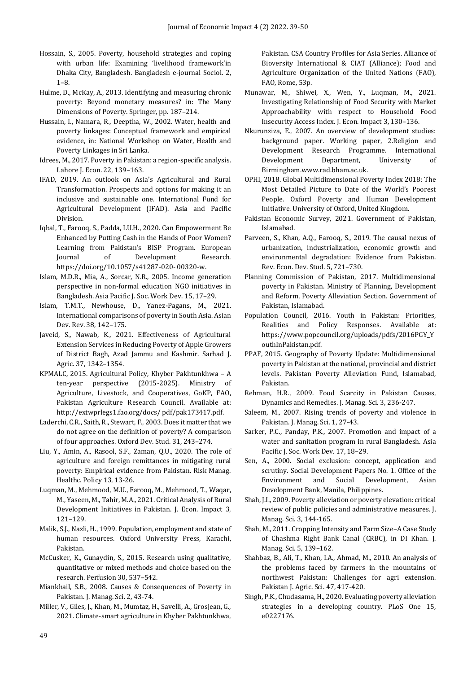- Hossain, S., 2005. Poverty, household strategies and coping with urban life: Examining 'livelihood framework'in Dhaka City, Bangladesh. Bangladesh e-journal Sociol. 2, 1–8.
- Hulme, D., McKay, A., 2013. Identifying and measuring chronic poverty: Beyond monetary measures? in: The Many Dimensions of Poverty. Springer, pp. 187–214.
- Hussain, I., Namara, R., Deeptha, W., 2002. Water, health and poverty linkages: Conceptual framework and empirical evidence, in: National Workshop on Water, Health and Poverty Linkages in Sri Lanka.
- Idrees, M., 2017. Poverty in Pakistan: a region-specific analysis. Lahore J. Econ. 22, 139–163.
- IFAD, 2019. An outlook on Asia's Agricultural and Rural Transformation. Prospects and options for making it an inclusive and sustainable one. International Fund for Agricultural Development (IFAD). Asia and Pacific Division.
- Iqbal, T., Farooq, S., Padda, I.U.H., 2020. Can Empowerment Be Enhanced by Putting Cash in the Hands of Poor Women? Learning from Pakistan's BISP Program. European Journal of Development Research. https://doi.org/10.1057/s41287-020- 00320-w.
- Islam, M.D.R., Mia, A., Sorcar, N.R., 2005. Income generation perspective in non-formal education NGO initiatives in Bangladesh. Asia Pacific J. Soc. Work Dev. 15, 17–29.
- Islam, T.M.T., Newhouse, D., Yanez-Pagans, M., 2021. International comparisons of poverty in South Asia. Asian Dev. Rev. 38, 142–175.
- Javeid, S., Nawab, K., 2021. Effectiveness of Agricultural Extension Services in Reducing Poverty of Apple Growers of District Bagh, Azad Jammu and Kashmir. Sarhad J. Agric. 37, 1342–1354.
- KPMALC, 2015. Agricultural Policy, Khyber Pakhtunkhwa A ten-year perspective (2015-2025). Ministry of Agriculture, Livestock, and Cooperatives, GoKP, FAO, Pakistan Agriculture Research Council. Available at: http://extwprlegs1.fao.org/docs/ pdf/pak173417.pdf.
- Laderchi, C.R., Saith, R., Stewart, F., 2003. Does it matter that we do not agree on the definition of poverty? A comparison of four approaches. Oxford Dev. Stud. 31, 243–274.
- Liu, Y., Amin, A., Rasool, S.F., Zaman, Q.U., 2020. The role of agriculture and foreign remittances in mitigating rural poverty: Empirical evidence from Pakistan. Risk Manag. Healthc. Policy 13, 13-26.
- Luqman, M., Mehmood, M.U., Farooq, M., Mehmood, T., Waqar, M., Yaseen, M., Tahir, M.A., 2021. Critical Analysis of Rural Development Initiatives in Pakistan. J. Econ. Impact 3, 121–129.
- Malik, S.J., Nazli, H., 1999. Population, employment and state of human resources. Oxford University Press, Karachi, Pakistan.
- McCusker, K., Gunaydin, S., 2015. Research using qualitative, quantitative or mixed methods and choice based on the research. Perfusion 30, 537–542.
- Miankhail, S.B., 2008. Causes & Consequences of Poverty in Pakistan. J. Manag. Sci. 2, 43-74.
- Miller, V., Giles, J., Khan, M., Mumtaz, H., Savelli, A., Grosjean, G., 2021. Climate-smart agriculture in Khyber Pakhtunkhwa,

Pakistan. CSA Country Profiles for Asia Series. Alliance of Bioversity International & CIAT (Alliance); Food and Agriculture Organization of the United Nations (FAO), FAO, Rome, 53p.

- Munawar, M., Shiwei, X., Wen, Y., Luqman, M., 2021. Investigating Relationship of Food Security with Market Approachability with respect to Household Food Insecurity Access Index. J. Econ. Impact 3, 130–136.
- Nkurunziza, E., 2007. An overview of development studies: background paper. Working paper, 2.Religion and Development Research Programme. International Development Department, University of Birmingha[m.www.rad.bham.ac.uk.](http://www.rad.bham.ac.uk/)
- OPHI, 2018. Global Multidimensional Poverty Index 2018: The Most Detailed Picture to Date of the World's Poorest People. Oxford Poverty and Human Development Initiative. University of Oxford, United Kingdom.
- Pakistan Economic Survey, 2021. Government of Pakistan, Islamabad.
- Parveen, S., Khan, A.Q., Farooq, S., 2019. The causal nexus of urbanization, industrialization, economic growth and environmental degradation: Evidence from Pakistan. Rev. Econ. Dev. Stud. 5, 721–730.
- Planning Commission of Pakistan, 2017. Multidimensional poverty in Pakistan. Ministry of Planning, Development and Reform, Poverty Alleviation Section. Government of Pakistan, Islamabad.
- Population Council, 2016. Youth in Pakistan: Priorities, Realities and Policy Responses. Available at: [https://www.popcouncil.org/uploads/pdfs/2016PGY\\_Y](https://www.popcouncil.org/uploads/pdfs/2016PGY_YouthInPakistan.pdf) [outhInPakistan.pdf.](https://www.popcouncil.org/uploads/pdfs/2016PGY_YouthInPakistan.pdf)
- PPAF, 2015. Geography of Poverty Update: Multidimensional poverty in Pakistan at the national, provincial and district levels. Pakistan Poverty Alleviation Fund, Islamabad, Pakistan.
- Rehman, H.R., 2009. Food Scarcity in Pakistan Causes, Dynamics and Remedies. J. Manag. Sci. 3, 236-247.
- Saleem, M., 2007. Rising trends of poverty and violence in Pakistan. J. Manag. Sci. 1, 27-43.
- Sarker, P.C., Panday, P.K., 2007. Promotion and impact of a water and sanitation program in rural Bangladesh. Asia Pacific J. Soc. Work Dev. 17, 18–29.
- Sen, A., 2000. Social exclusion: concept, application and scrutiny. Social Development Papers No. 1. Office of the Environment and Social Development, Asian Development Bank, Manila, Philippines.
- Shah, J.I., 2009. Poverty alleviation or poverty elevation: critical review of public policies and administrative measures. J. Manag. Sci. 3, 144-165.
- Shah, M., 2011. Cropping Intensity and Farm Size–A Case Study of Chashma Right Bank Canal (CRBC), in DI Khan. J. Manag. Sci. 5, 139–162.
- Shahbaz, B., Ali, T., Khan, I.A., Ahmad, M., 2010. An analysis of the problems faced by farmers in the mountains of northwest Pakistan: Challenges for agri extension. Pakistan J. Agric. Sci. 47, 417-420.
- Singh, P.K., Chudasama, H., 2020. Evaluating poverty alleviation strategies in a developing country. PLoS One 15, e0227176.